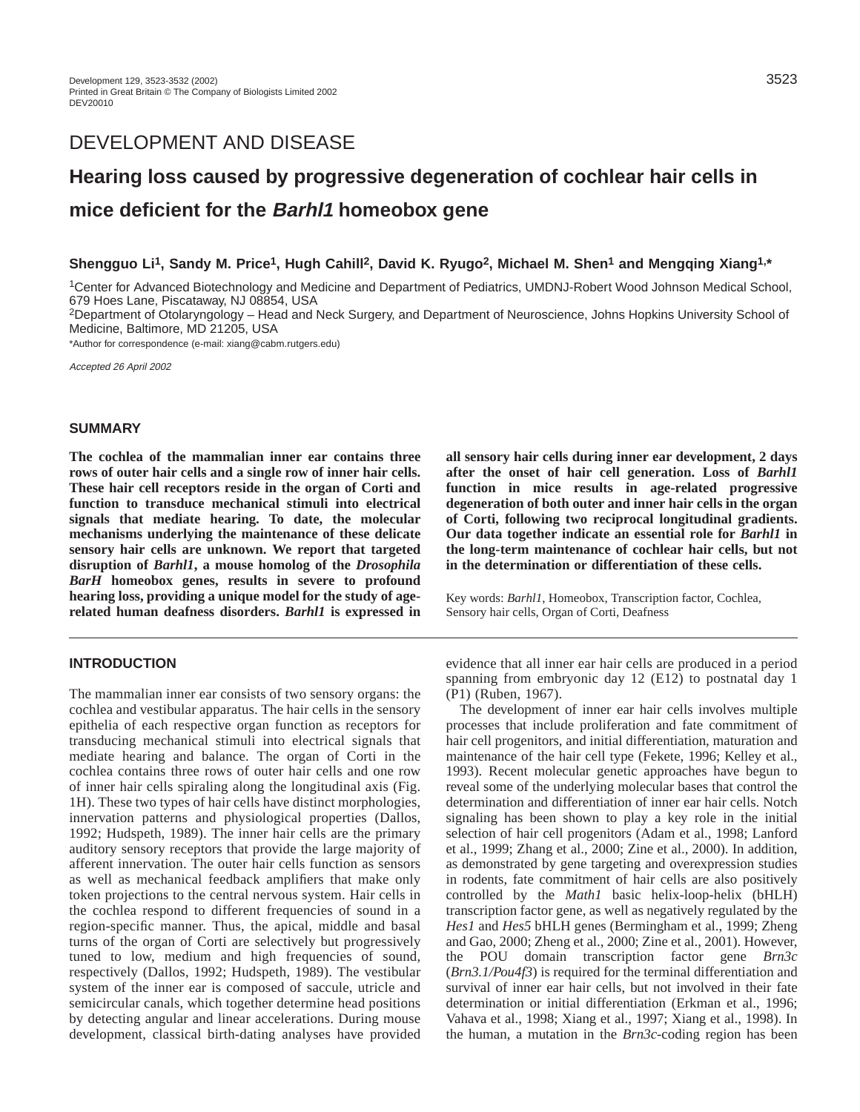# DEVELOPMENT AND DISEASE

# **Hearing loss caused by progressive degeneration of cochlear hair cells in mice deficient for the Barhl1 homeobox gene**

# **Shengguo Li1, Sandy M. Price1, Hugh Cahill2, David K. Ryugo2, Michael M. Shen1 and Mengqing Xiang1,\***

1Center for Advanced Biotechnology and Medicine and Department of Pediatrics, UMDNJ-Robert Wood Johnson Medical School, 679 Hoes Lane, Piscataway, NJ 08854, USA

2Department of Otolaryngology – Head and Neck Surgery, and Department of Neuroscience, Johns Hopkins University School of Medicine, Baltimore, MD 21205, USA

\*Author for correspondence (e-mail: xiang@cabm.rutgers.edu)

Accepted 26 April 2002

# **SUMMARY**

**The cochlea of the mammalian inner ear contains three rows of outer hair cells and a single row of inner hair cells. These hair cell receptors reside in the organ of Corti and function to transduce mechanical stimuli into electrical signals that mediate hearing. To date, the molecular mechanisms underlying the maintenance of these delicate sensory hair cells are unknown. We report that targeted disruption of** *Barhl1***, a mouse homolog of the** *Drosophila BarH* **homeobox genes, results in severe to profound hearing loss, providing a unique model for the study of agerelated human deafness disorders.** *Barhl1* **is expressed in**

#### **INTRODUCTION**

The mammalian inner ear consists of two sensory organs: the cochlea and vestibular apparatus. The hair cells in the sensory epithelia of each respective organ function as receptors for transducing mechanical stimuli into electrical signals that mediate hearing and balance. The organ of Corti in the cochlea contains three rows of outer hair cells and one row of inner hair cells spiraling along the longitudinal axis (Fig. 1H). These two types of hair cells have distinct morphologies, innervation patterns and physiological properties (Dallos, 1992; Hudspeth, 1989). The inner hair cells are the primary auditory sensory receptors that provide the large majority of afferent innervation. The outer hair cells function as sensors as well as mechanical feedback amplifiers that make only token projections to the central nervous system. Hair cells in the cochlea respond to different frequencies of sound in a region-specific manner. Thus, the apical, middle and basal turns of the organ of Corti are selectively but progressively tuned to low, medium and high frequencies of sound, respectively (Dallos, 1992; Hudspeth, 1989). The vestibular system of the inner ear is composed of saccule, utricle and semicircular canals, which together determine head positions by detecting angular and linear accelerations. During mouse development, classical birth-dating analyses have provided

**all sensory hair cells during inner ear development, 2 days after the onset of hair cell generation. Loss of** *Barhl1* **function in mice results in age-related progressive degeneration of both outer and inner hair cells in the organ of Corti, following two reciprocal longitudinal gradients. Our data together indicate an essential role for** *Barhl1* **in the long-term maintenance of cochlear hair cells, but not in the determination or differentiation of these cells.**

Key words: *Barhl1*, Homeobox, Transcription factor, Cochlea, Sensory hair cells, Organ of Corti, Deafness

evidence that all inner ear hair cells are produced in a period spanning from embryonic day 12 (E12) to postnatal day 1 (P1) (Ruben, 1967).

The development of inner ear hair cells involves multiple processes that include proliferation and fate commitment of hair cell progenitors, and initial differentiation, maturation and maintenance of the hair cell type (Fekete, 1996; Kelley et al., 1993). Recent molecular genetic approaches have begun to reveal some of the underlying molecular bases that control the determination and differentiation of inner ear hair cells. Notch signaling has been shown to play a key role in the initial selection of hair cell progenitors (Adam et al., 1998; Lanford et al., 1999; Zhang et al., 2000; Zine et al., 2000). In addition, as demonstrated by gene targeting and overexpression studies in rodents, fate commitment of hair cells are also positively controlled by the *Math1* basic helix-loop-helix (bHLH) transcription factor gene, as well as negatively regulated by the *Hes1* and *Hes5* bHLH genes (Bermingham et al., 1999; Zheng and Gao, 2000; Zheng et al., 2000; Zine et al., 2001). However, the POU domain transcription factor gene *Brn3c* (*Brn3.1/Pou4f3*) is required for the terminal differentiation and survival of inner ear hair cells, but not involved in their fate determination or initial differentiation (Erkman et al., 1996; Vahava et al., 1998; Xiang et al., 1997; Xiang et al., 1998). In the human, a mutation in the *Brn3c*-coding region has been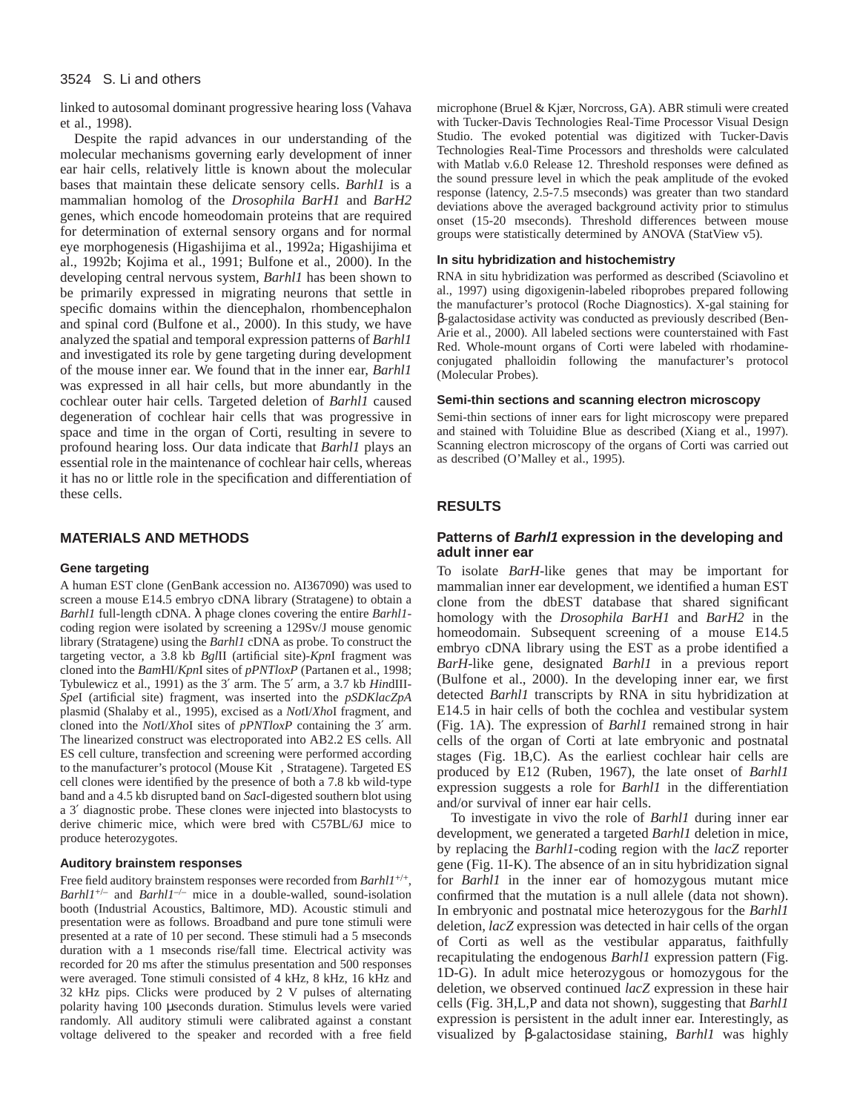#### 3524 S. Li and others

linked to autosomal dominant progressive hearing loss (Vahava et al., 1998).

Despite the rapid advances in our understanding of the molecular mechanisms governing early development of inner ear hair cells, relatively little is known about the molecular bases that maintain these delicate sensory cells. *Barhl1* is a mammalian homolog of the *Drosophila BarH1* and *BarH2* genes, which encode homeodomain proteins that are required for determination of external sensory organs and for normal eye morphogenesis (Higashijima et al., 1992a; Higashijima et al., 1992b; Kojima et al., 1991; Bulfone et al., 2000). In the developing central nervous system, *Barhl1* has been shown to be primarily expressed in migrating neurons that settle in specific domains within the diencephalon, rhombencephalon and spinal cord (Bulfone et al., 2000). In this study, we have analyzed the spatial and temporal expression patterns of *Barhl1* and investigated its role by gene targeting during development of the mouse inner ear. We found that in the inner ear, *Barhl1* was expressed in all hair cells, but more abundantly in the cochlear outer hair cells. Targeted deletion of *Barhl1* caused degeneration of cochlear hair cells that was progressive in space and time in the organ of Corti, resulting in severe to profound hearing loss. Our data indicate that *Barhl1* plays an essential role in the maintenance of cochlear hair cells, whereas it has no or little role in the specification and differentiation of these cells.

# **MATERIALS AND METHODS**

#### **Gene targeting**

A human EST clone (GenBank accession no. AI367090) was used to screen a mouse E14.5 embryo cDNA library (Stratagene) to obtain a *Barhl1* full-length cDNA. λ phage clones covering the entire *Barhl1* coding region were isolated by screening a 129Sv/J mouse genomic library (Stratagene) using the *Barhl1* cDNA as probe. To construct the targeting vector, a 3.8 kb *Bgl*II (artificial site)-*Kpn*I fragment was cloned into the *Bam*HI/*Kpn*I sites of *pPNTloxP* (Partanen et al., 1998; Tybulewicz et al., 1991) as the 3′ arm. The 5′ arm, a 3.7 kb *Hin*dIII-*Spe*I (artificial site) fragment, was inserted into the *pSDKlacZpA* plasmid (Shalaby et al., 1995), excised as a *Not*I/*Xho*I fragment, and cloned into the *Not*I/*Xho*I sites of *pPNTloxP* containing the 3′ arm. The linearized construct was electroporated into AB2.2 ES cells. All ES cell culture, transfection and screening were performed according to the manufacturer's protocol (Mouse  $\text{Ki}^{\text{TM}}$ , Stratagene). Targeted ES cell clones were identified by the presence of both a 7.8 kb wild-type band and a 4.5 kb disrupted band on *Sac*I-digested southern blot using a 3′ diagnostic probe. These clones were injected into blastocysts to derive chimeric mice, which were bred with C57BL/6J mice to produce heterozygotes.

### **Auditory brainstem responses**

Free field auditory brainstem responses were recorded from *Barhl1*<sup>+/+</sup>, *Barhl1<sup>+/–</sup>* and *Barhl1<sup>-/–</sup>* mice in a double-walled, sound-isolation booth (Industrial Acoustics, Baltimore, MD). Acoustic stimuli and presentation were as follows. Broadband and pure tone stimuli were presented at a rate of 10 per second. These stimuli had a 5 mseconds duration with a 1 mseconds rise/fall time. Electrical activity was recorded for 20 ms after the stimulus presentation and 500 responses were averaged. Tone stimuli consisted of 4 kHz, 8 kHz, 16 kHz and 32 kHz pips. Clicks were produced by 2 V pulses of alternating polarity having 100 µseconds duration. Stimulus levels were varied randomly. All auditory stimuli were calibrated against a constant voltage delivered to the speaker and recorded with a free field

microphone (Bruel & Kjær, Norcross, GA). ABR stimuli were created with Tucker-Davis Technologies Real-Time Processor Visual Design Studio. The evoked potential was digitized with Tucker-Davis Technologies Real-Time Processors and thresholds were calculated with Matlab v.6.0 Release 12. Threshold responses were defined as the sound pressure level in which the peak amplitude of the evoked response (latency, 2.5-7.5 mseconds) was greater than two standard deviations above the averaged background activity prior to stimulus onset (15-20 mseconds). Threshold differences between mouse groups were statistically determined by ANOVA (StatView v5).

#### **In situ hybridization and histochemistry**

RNA in situ hybridization was performed as described (Sciavolino et al., 1997) using digoxigenin-labeled riboprobes prepared following the manufacturer's protocol (Roche Diagnostics). X-gal staining for β-galactosidase activity was conducted as previously described (Ben-Arie et al., 2000). All labeled sections were counterstained with Fast Red. Whole-mount organs of Corti were labeled with rhodamineconjugated phalloidin following the manufacturer's protocol (Molecular Probes).

#### **Semi-thin sections and scanning electron microscopy**

Semi-thin sections of inner ears for light microscopy were prepared and stained with Toluidine Blue as described (Xiang et al., 1997). Scanning electron microscopy of the organs of Corti was carried out as described (O'Malley et al., 1995).

### **RESULTS**

# **Patterns of Barhl1 expression in the developing and adult inner ear**

To isolate *BarH*-like genes that may be important for mammalian inner ear development, we identified a human EST clone from the dbEST database that shared significant homology with the *Drosophila BarH1* and *BarH2* in the homeodomain. Subsequent screening of a mouse E14.5 embryo cDNA library using the EST as a probe identified a *BarH*-like gene, designated *Barhl1* in a previous report (Bulfone et al., 2000). In the developing inner ear, we first detected *Barhl1* transcripts by RNA in situ hybridization at E14.5 in hair cells of both the cochlea and vestibular system (Fig. 1A). The expression of *Barhl1* remained strong in hair cells of the organ of Corti at late embryonic and postnatal stages (Fig. 1B,C). As the earliest cochlear hair cells are produced by E12 (Ruben, 1967), the late onset of *Barhl1* expression suggests a role for *Barhl1* in the differentiation and/or survival of inner ear hair cells.

To investigate in vivo the role of *Barhl1* during inner ear development, we generated a targeted *Barhl1* deletion in mice, by replacing the *Barhl1*-coding region with the *lacZ* reporter gene (Fig. 1I-K). The absence of an in situ hybridization signal for *Barhl1* in the inner ear of homozygous mutant mice confirmed that the mutation is a null allele (data not shown). In embryonic and postnatal mice heterozygous for the *Barhl1* deletion, *lacZ* expression was detected in hair cells of the organ of Corti as well as the vestibular apparatus, faithfully recapitulating the endogenous *Barhl1* expression pattern (Fig. 1D-G). In adult mice heterozygous or homozygous for the deletion, we observed continued *lacZ* expression in these hair cells (Fig. 3H,L,P and data not shown), suggesting that *Barhl1* expression is persistent in the adult inner ear. Interestingly, as visualized by β-galactosidase staining, *Barhl1* was highly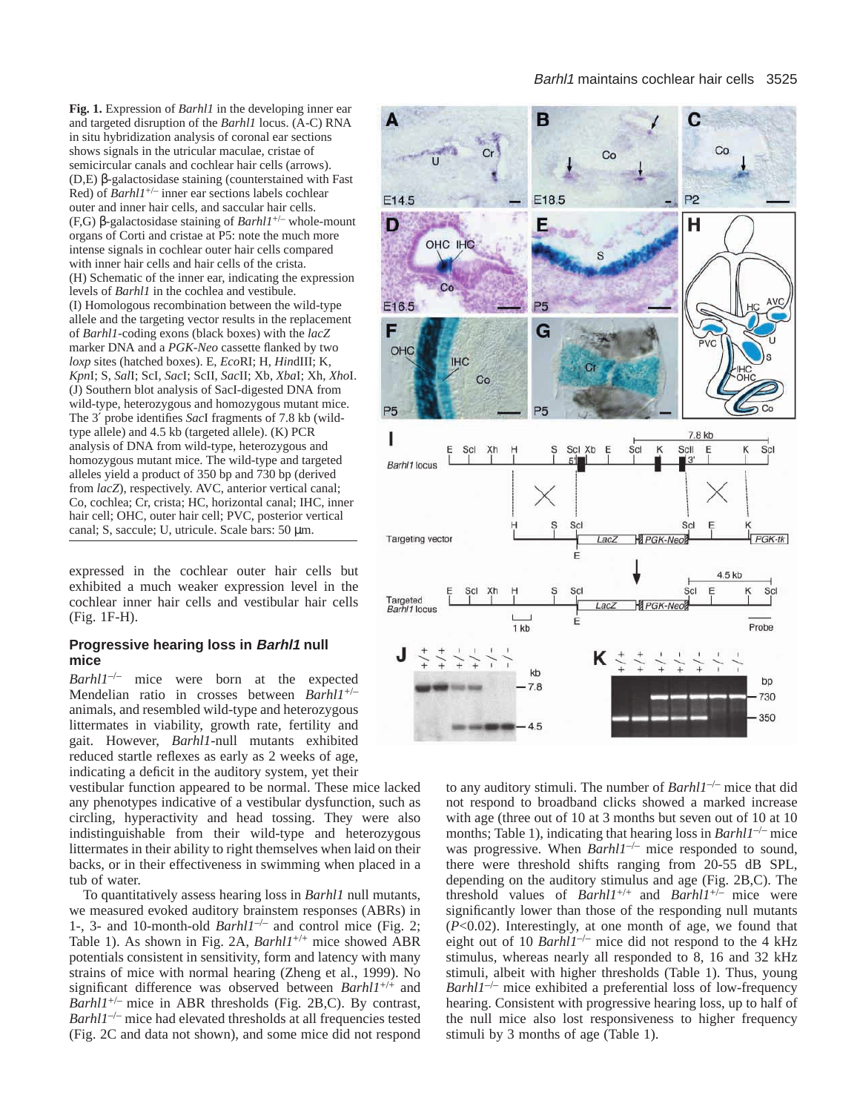**Fig. 1.** Expression of *Barhl1* in the developing inner ear and targeted disruption of the *Barhl1* locus. (A-C) RNA in situ hybridization analysis of coronal ear sections shows signals in the utricular maculae, cristae of semicircular canals and cochlear hair cells (arrows). (D,E) β-galactosidase staining (counterstained with Fast Red) of *Barhl1*+/– inner ear sections labels cochlear outer and inner hair cells, and saccular hair cells. (F,G) β-galactosidase staining of *Barhl1*+/– whole-mount organs of Corti and cristae at P5: note the much more intense signals in cochlear outer hair cells compared with inner hair cells and hair cells of the crista. (H) Schematic of the inner ear, indicating the expression levels of *Barhl1* in the cochlea and vestibule. (I) Homologous recombination between the wild-type allele and the targeting vector results in the replacement of *Barhl1*-coding exons (black boxes) with the *lacZ* marker DNA and a *PGK-Neo* cassette flanked by two *loxp* sites (hatched boxes). E, *Eco*RI; H, *Hin*dIII; K, *Kpn*I; S, *Sal*I; ScI, *Sac*I; ScII, *Sac*II; Xb, *Xba*I; Xh, *Xho*I. (J) Southern blot analysis of SacI-digested DNA from wild-type, heterozygous and homozygous mutant mice. The 3′ probe identifies *Sac*I fragments of 7.8 kb (wildtype allele) and 4.5 kb (targeted allele). (K) PCR analysis of DNA from wild-type, heterozygous and homozygous mutant mice. The wild-type and targeted alleles yield a product of 350 bp and 730 bp (derived from *lacZ*), respectively. AVC, anterior vertical canal; Co, cochlea; Cr, crista; HC, horizontal canal; IHC, inner hair cell; OHC, outer hair cell; PVC, posterior vertical canal; S, saccule; U, utricule. Scale bars: 50 µm.

expressed in the cochlear outer hair cells but exhibited a much weaker expression level in the cochlear inner hair cells and vestibular hair cells (Fig. 1F-H).

# **Progressive hearing loss in Barhl1 null mice**

*Barhl1<sup>-/-</sup>* mice were born at the expected Mendelian ratio in crosses between *Barhl1*+/– animals, and resembled wild-type and heterozygous littermates in viability, growth rate, fertility and gait. However, *Barhl1*-null mutants exhibited reduced startle reflexes as early as 2 weeks of age, indicating a deficit in the auditory system, yet their

vestibular function appeared to be normal. These mice lacked any phenotypes indicative of a vestibular dysfunction, such as circling, hyperactivity and head tossing. They were also indistinguishable from their wild-type and heterozygous littermates in their ability to right themselves when laid on their backs, or in their effectiveness in swimming when placed in a tub of water.

To quantitatively assess hearing loss in *Barhl1* null mutants, we measured evoked auditory brainstem responses (ABRs) in 1-, 3- and 10-month-old *Barhl1*–/– and control mice (Fig. 2; Table 1). As shown in Fig. 2A, *Barhl1*+/+ mice showed ABR potentials consistent in sensitivity, form and latency with many strains of mice with normal hearing (Zheng et al., 1999). No significant difference was observed between *Barhl1*+/+ and *Barhl1*+/– mice in ABR thresholds (Fig. 2B,C). By contrast, *Barhl1<sup>-/-</sup>* mice had elevated thresholds at all frequencies tested (Fig. 2C and data not shown), and some mice did not respond



to any auditory stimuli. The number of *Barhl1*–/– mice that did not respond to broadband clicks showed a marked increase with age (three out of 10 at 3 months but seven out of 10 at 10 months; Table 1), indicating that hearing loss in *Barhl1<sup>-/-</sup>* mice was progressive. When *Barhl1*–/– mice responded to sound, there were threshold shifts ranging from 20-55 dB SPL, depending on the auditory stimulus and age (Fig. 2B,C). The threshold values of *Barhl1*+/+ and *Barhl1*+/– mice were significantly lower than those of the responding null mutants (*P*<0.02). Interestingly, at one month of age, we found that eight out of 10 *Barhl1<sup>-/-</sup>* mice did not respond to the 4 kHz stimulus, whereas nearly all responded to 8, 16 and 32 kHz stimuli, albeit with higher thresholds (Table 1). Thus, young *Barhl1*–/– mice exhibited a preferential loss of low-frequency hearing. Consistent with progressive hearing loss, up to half of the null mice also lost responsiveness to higher frequency stimuli by 3 months of age (Table 1).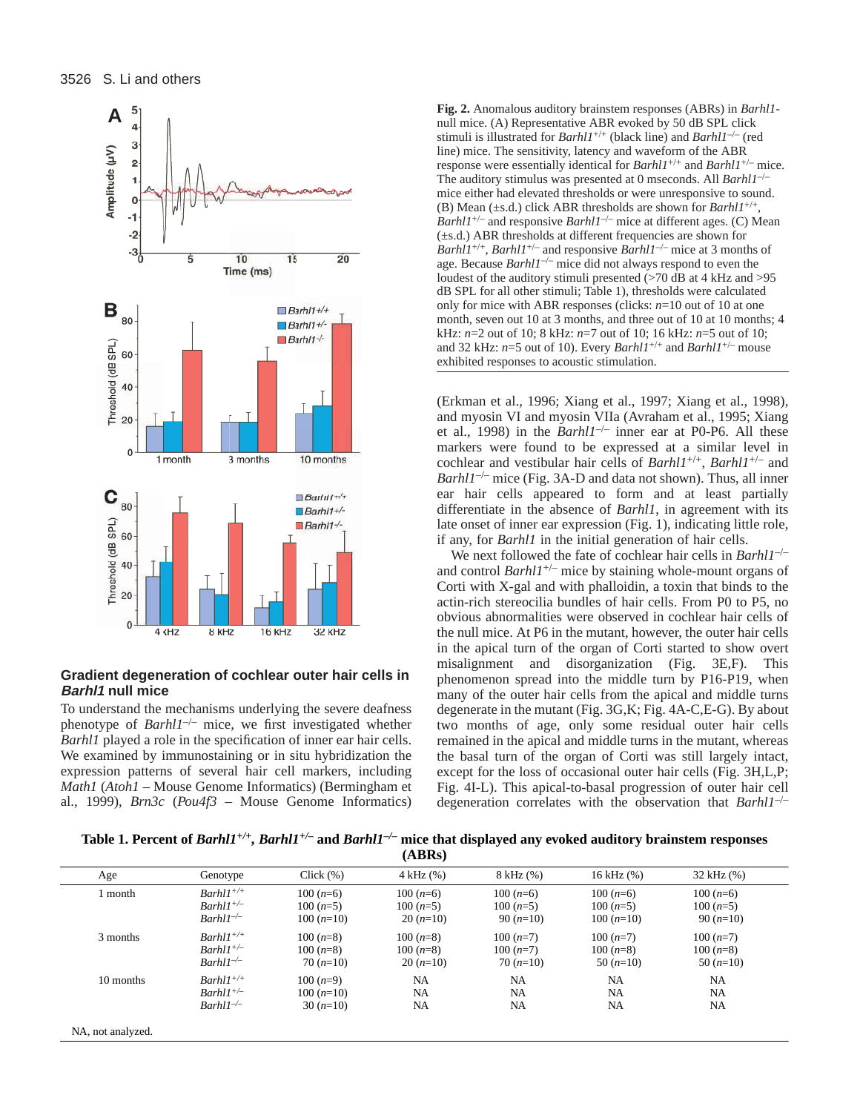

# **Gradient degeneration of cochlear outer hair cells in Barhl1 null mice**

To understand the mechanisms underlying the severe deafness phenotype of *Barhl1*–/– mice, we first investigated whether *Barhl1* played a role in the specification of inner ear hair cells. We examined by immunostaining or in situ hybridization the expression patterns of several hair cell markers, including *Math1* (*Atoh1* – Mouse Genome Informatics) (Bermingham et al., 1999), *Brn3c* (*Pou4f3* – Mouse Genome Informatics)

**A** <sup>5</sup><br> **A** <sup>5</sup><br> **A** <sup>5</sup><br> **A** <sup>5</sup><br> **A** <sup>5</sup><br> **A** <sup>5</sup><br> **A** <sup>5</sup><br> **A Extra Extra auditory brainstem responses (ABRs) in** *Barhl1***-<br>
mull mice. (A) Representative ABR evoked by 50 dB SPL click** null mice. (A) Representative ABR evoked by 50 dB SPL click stimuli is illustrated for *Barhl1*+/+ (black line) and *Barhl1*–/– (red line) mice. The sensitivity, latency and waveform of the ABR response were essentially identical for *Barhl1*+/+ and *Barhl1*+/– mice. The auditory stimulus was presented at 0 mseconds. All *Barhl1<sup>-/</sup>* mice either had elevated thresholds or were unresponsive to sound. (B) Mean ( $\pm$ s.d.) click ABR thresholds are shown for *Barhl1<sup>+/-</sup> Barhl1<sup>+/-</sup>* and responsive *Barhl1<sup>-/-</sup>* mice at different ages. (C) Mean (±s.d.) ABR thresholds at different frequencies are shown for *Barhl1*+/+, *Barhl1*+/– and responsive *Barhl1*–/– mice at 3 months of age. Because *Barhl1*–/– mice did not always respond to even the loudest of the auditory stimuli presented (>70 dB at 4 kHz and >95 dB SPL for all other stimuli; Table 1), thresholds were calculated only for mice with ABR responses (clicks: *n*=10 out of 10 at one month, seven out 10 at 3 months, and three out of 10 at 10 months; 4 kHz: *n*=2 out of 10; 8 kHz: *n*=7 out of 10; 16 kHz: *n*=5 out of 10; and 32 kHz: *n*=5 out of 10). Every *Barhl1*+/+ and *Barhl1*+/– mouse exhibited responses to acoustic stimulation.

> (Erkman et al., 1996; Xiang et al., 1997; Xiang et al., 1998), and myosin VI and myosin VIIa (Avraham et al., 1995; Xiang et al., 1998) in the *Barhl1*–/– inner ear at P0-P6. All these markers were found to be expressed at a similar level in cochlear and vestibular hair cells of *Barhl1*+/+, *Barhl1*+/– and *Barhl1<sup>-/–</sup>* mice (Fig. 3A-D and data not shown). Thus, all inner ear hair cells appeared to form and at least partially differentiate in the absence of *Barhl1*, in agreement with its late onset of inner ear expression (Fig. 1), indicating little role, if any, for *Barhl1* in the initial generation of hair cells.

> We next followed the fate of cochlear hair cells in *Barhl1*–/– and control *Barhl1*+/– mice by staining whole-mount organs of Corti with X-gal and with phalloidin, a toxin that binds to the actin-rich stereocilia bundles of hair cells. From P0 to P5, no obvious abnormalities were observed in cochlear hair cells of the null mice. At P6 in the mutant, however, the outer hair cells in the apical turn of the organ of Corti started to show overt misalignment and disorganization (Fig. 3E,F). This phenomenon spread into the middle turn by P16-P19, when many of the outer hair cells from the apical and middle turns degenerate in the mutant (Fig. 3G,K; Fig. 4A-C,E-G). By about two months of age, only some residual outer hair cells remained in the apical and middle turns in the mutant, whereas the basal turn of the organ of Corti was still largely intact, except for the loss of occasional outer hair cells (Fig. 3H,L,P; Fig. 4I-L). This apical-to-basal progression of outer hair cell degeneration correlates with the observation that *Barhl1*–/–

**Table 1. Percent of** *Barhl1+/+, Barhl1+/–* **and** *Barhl1–/–* **mice that displayed any evoked auditory brainstem responses (ABRs)**

| Age       | Genotype        | Click $(\% )$ | 4 kHz (%)  | $8$ kHz $(\%)$ | $16$ kHz $(\% )$ | 32 kHz (%) |
|-----------|-----------------|---------------|------------|----------------|------------------|------------|
| l month   | $Barhll^{+/+}$  | $100(n=6)$    | $100(n=6)$ | $100(n=6)$     | $100(n=6)$       | $100(n=6)$ |
|           | $Barhll^{+\/-}$ | $100(n=5)$    | $100(n=5)$ | $100(n=5)$     | $100(n=5)$       | $100(n=5)$ |
|           | $Barh1^{-/-}$   | $100(n=10)$   | $20(n=10)$ | $90(n=10)$     | $100(n=10)$      | $90(n=10)$ |
| 3 months  | $Barhll^{+/+}$  | $100(n=8)$    | $100(n=8)$ | $100(n=7)$     | $100(n=7)$       | $100(n=7)$ |
|           | $Barhll^{+\/-}$ | $100(n=8)$    | $100(n=8)$ | $100(n=7)$     | $100(n=8)$       | $100(n=8)$ |
|           | $Barh1^{-/-}$   | $70(n=10)$    | $20(n=10)$ | $70(n=10)$     | 50 $(n=10)$      | $50(n=10)$ |
| 10 months | $Barh11^{+/+}$  | $100(n=9)$    | <b>NA</b>  | <b>NA</b>      | <b>NA</b>        | NA         |
|           | $Barhll^{+\/-}$ | $100(n=10)$   | <b>NA</b>  | <b>NA</b>      | <b>NA</b>        | <b>NA</b>  |
|           | $Barh1^{-/-}$   | $30(n=10)$    | NA         | NA             | NA               | NA         |

NA, not analyzed.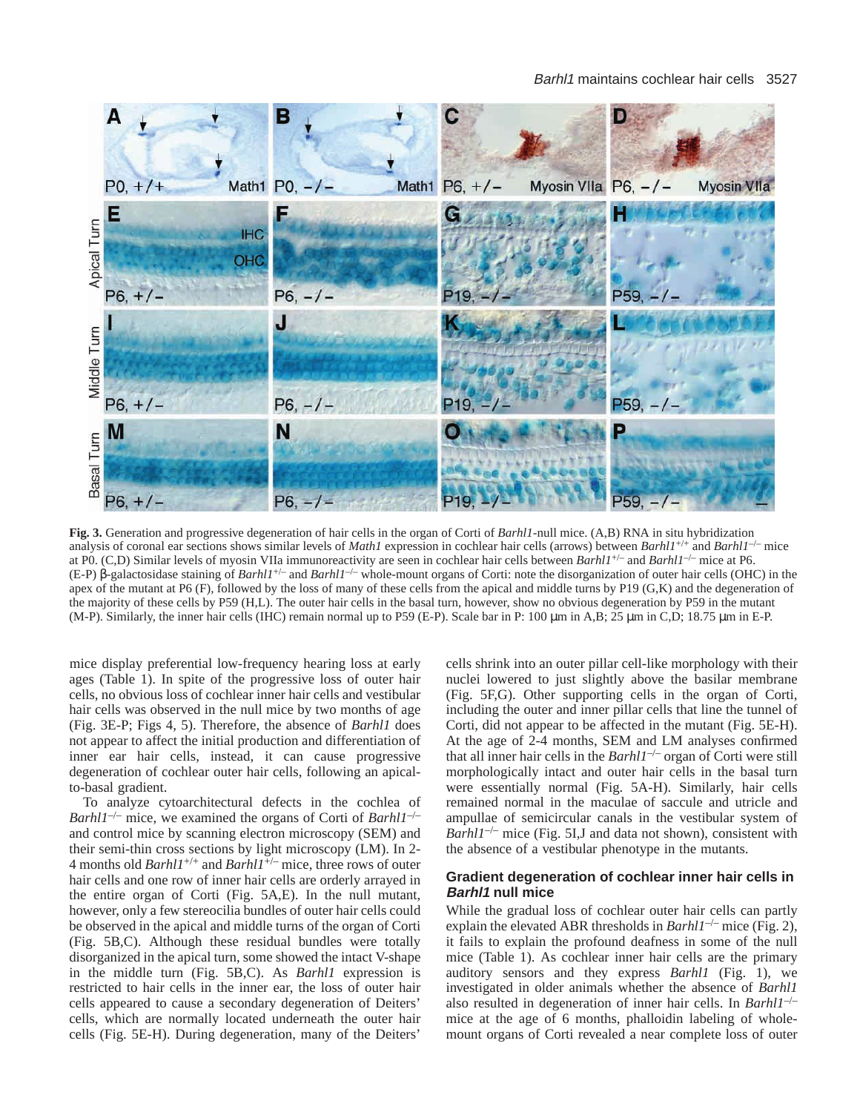#### Barhl1 maintains cochlear hair cells 3527



**Fig. 3.** Generation and progressive degeneration of hair cells in the organ of Corti of *Barhl1*-null mice. (A,B) RNA in situ hybridization analysis of coronal ear sections shows similar levels of *Math1* expression in cochlear hair cells (arrows) between *Barhl1*+/+ and *Barhl1*–/– mice at P0. (C,D) Similar levels of myosin VIIa immunoreactivity are seen in cochlear hair cells between *Barhl1*+/– and *Barhl1*–/– mice at P6. (E-P) β-galactosidase staining of *Barhl1*+/– and *Barhl1*–/– whole-mount organs of Corti: note the disorganization of outer hair cells (OHC) in the apex of the mutant at P6  $(F)$ , followed by the loss of many of these cells from the apical and middle turns by P19  $(G,K)$  and the degeneration of the majority of these cells by P59 (H,L). The outer hair cells in the basal turn, however, show no obvious degeneration by P59 in the mutant (M-P). Similarly, the inner hair cells (IHC) remain normal up to P59 (E-P). Scale bar in P: 100 µm in A,B; 25 µm in C,D; 18.75 µm in E-P.

mice display preferential low-frequency hearing loss at early ages (Table 1). In spite of the progressive loss of outer hair cells, no obvious loss of cochlear inner hair cells and vestibular hair cells was observed in the null mice by two months of age (Fig. 3E-P; Figs 4, 5). Therefore, the absence of *Barhl1* does not appear to affect the initial production and differentiation of inner ear hair cells, instead, it can cause progressive degeneration of cochlear outer hair cells, following an apicalto-basal gradient.

To analyze cytoarchitectural defects in the cochlea of *Barhl1*–/– mice, we examined the organs of Corti of *Barhl1*–/– and control mice by scanning electron microscopy (SEM) and their semi-thin cross sections by light microscopy (LM). In 2- 4 months old *Barhl1*+/+ and *Barhl1*+/– mice, three rows of outer hair cells and one row of inner hair cells are orderly arrayed in the entire organ of Corti (Fig. 5A,E). In the null mutant, however, only a few stereocilia bundles of outer hair cells could be observed in the apical and middle turns of the organ of Corti (Fig. 5B,C). Although these residual bundles were totally disorganized in the apical turn, some showed the intact V-shape in the middle turn (Fig. 5B,C). As *Barhl1* expression is restricted to hair cells in the inner ear, the loss of outer hair cells appeared to cause a secondary degeneration of Deiters' cells, which are normally located underneath the outer hair cells (Fig. 5E-H). During degeneration, many of the Deiters'

cells shrink into an outer pillar cell-like morphology with their nuclei lowered to just slightly above the basilar membrane (Fig. 5F,G). Other supporting cells in the organ of Corti, including the outer and inner pillar cells that line the tunnel of Corti, did not appear to be affected in the mutant (Fig. 5E-H). At the age of 2-4 months, SEM and LM analyses confirmed that all inner hair cells in the *Barhl1*–/– organ of Corti were still morphologically intact and outer hair cells in the basal turn were essentially normal (Fig. 5A-H). Similarly, hair cells remained normal in the maculae of saccule and utricle and ampullae of semicircular canals in the vestibular system of *Barhl1<sup>-/-</sup>* mice (Fig. 5I,J and data not shown), consistent with the absence of a vestibular phenotype in the mutants.

# **Gradient degeneration of cochlear inner hair cells in Barhl1 null mice**

While the gradual loss of cochlear outer hair cells can partly explain the elevated ABR thresholds in  $Barh11^{-/-}$  mice (Fig. 2), it fails to explain the profound deafness in some of the null mice (Table 1). As cochlear inner hair cells are the primary auditory sensors and they express *Barhl1* (Fig. 1), we investigated in older animals whether the absence of *Barhl1* also resulted in degeneration of inner hair cells. In *Barhl1*–/– mice at the age of 6 months, phalloidin labeling of wholemount organs of Corti revealed a near complete loss of outer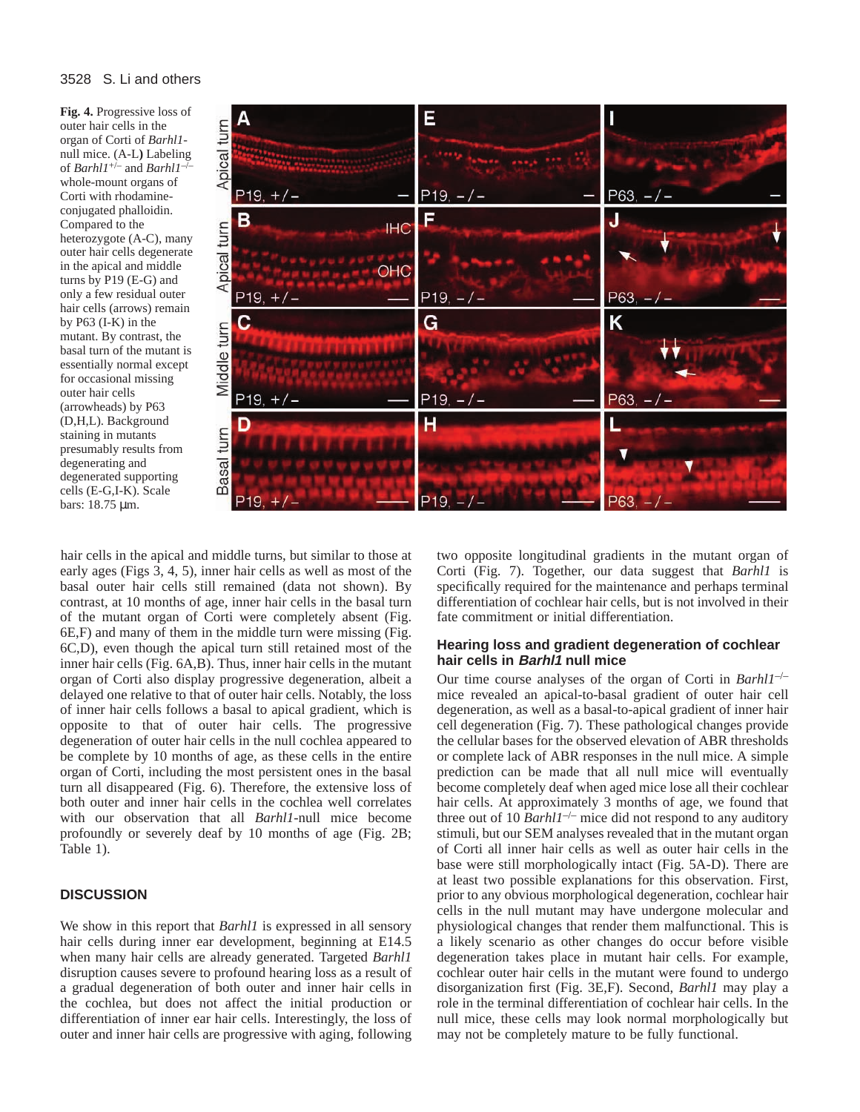## 3528 S. Li and others

**Fig. 4.** Progressive loss of outer hair cells in the organ of Corti of *Barhl1* null mice. (A-L**)** Labeling of *Barhl1*+/– and *Barhl1*–/– whole-mount organs of Corti with rhodamineconjugated phalloidin. Compared to the heterozygote (A-C), many outer hair cells degenerate in the apical and middle turns by P19 (E-G) and only a few residual outer hair cells (arrows) remain by P63 (I-K) in the mutant. By contrast, the basal turn of the mutant is essentially normal except for occasional missing outer hair cells (arrowheads) by P63 (D,H,L). Background staining in mutants presumably results from degenerating and degenerated supporting cells (E-G,I-K). Scale bars: 18.75 µm.



hair cells in the apical and middle turns, but similar to those at early ages (Figs 3, 4, 5), inner hair cells as well as most of the basal outer hair cells still remained (data not shown). By contrast, at 10 months of age, inner hair cells in the basal turn of the mutant organ of Corti were completely absent (Fig. 6E,F) and many of them in the middle turn were missing (Fig. 6C,D), even though the apical turn still retained most of the inner hair cells (Fig. 6A,B). Thus, inner hair cells in the mutant organ of Corti also display progressive degeneration, albeit a delayed one relative to that of outer hair cells. Notably, the loss of inner hair cells follows a basal to apical gradient, which is opposite to that of outer hair cells. The progressive degeneration of outer hair cells in the null cochlea appeared to be complete by 10 months of age, as these cells in the entire organ of Corti, including the most persistent ones in the basal turn all disappeared (Fig. 6). Therefore, the extensive loss of both outer and inner hair cells in the cochlea well correlates with our observation that all *Barhl1*-null mice become profoundly or severely deaf by 10 months of age (Fig. 2B; Table 1).

# **DISCUSSION**

We show in this report that *Barhl1* is expressed in all sensory hair cells during inner ear development, beginning at E14.5 when many hair cells are already generated. Targeted *Barhl1* disruption causes severe to profound hearing loss as a result of a gradual degeneration of both outer and inner hair cells in the cochlea, but does not affect the initial production or differentiation of inner ear hair cells. Interestingly, the loss of outer and inner hair cells are progressive with aging, following

two opposite longitudinal gradients in the mutant organ of Corti (Fig. 7). Together, our data suggest that *Barhl1* is specifically required for the maintenance and perhaps terminal differentiation of cochlear hair cells, but is not involved in their fate commitment or initial differentiation.

# **Hearing loss and gradient degeneration of cochlear hair cells in Barhl1 null mice**

Our time course analyses of the organ of Corti in *Barhl1*–/– mice revealed an apical-to-basal gradient of outer hair cell degeneration, as well as a basal-to-apical gradient of inner hair cell degeneration (Fig. 7). These pathological changes provide the cellular bases for the observed elevation of ABR thresholds or complete lack of ABR responses in the null mice. A simple prediction can be made that all null mice will eventually become completely deaf when aged mice lose all their cochlear hair cells. At approximately 3 months of age, we found that three out of 10  $Barh11^{-/-}$  mice did not respond to any auditory stimuli, but our SEM analyses revealed that in the mutant organ of Corti all inner hair cells as well as outer hair cells in the base were still morphologically intact (Fig. 5A-D). There are at least two possible explanations for this observation. First, prior to any obvious morphological degeneration, cochlear hair cells in the null mutant may have undergone molecular and physiological changes that render them malfunctional. This is a likely scenario as other changes do occur before visible degeneration takes place in mutant hair cells. For example, cochlear outer hair cells in the mutant were found to undergo disorganization first (Fig. 3E,F). Second, *Barhl1* may play a role in the terminal differentiation of cochlear hair cells. In the null mice, these cells may look normal morphologically but may not be completely mature to be fully functional.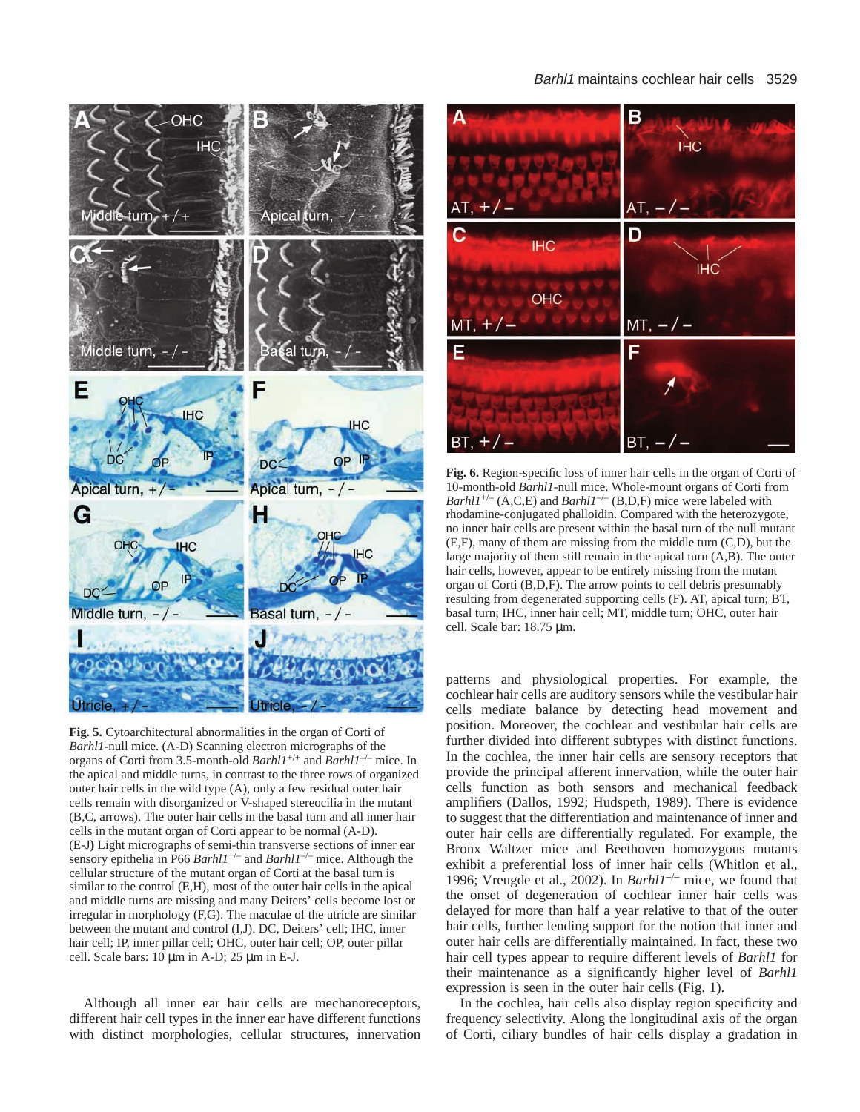# Barhl1 maintains cochlear hair cells 3529



**Fig. 5.** Cytoarchitectural abnormalities in the organ of Corti of *Barhl1*-null mice. (A-D) Scanning electron micrographs of the organs of Corti from 3.5-month-old *Barhl1*+/+ and *Barhl1*–/– mice. In the apical and middle turns, in contrast to the three rows of organized outer hair cells in the wild type (A), only a few residual outer hair cells remain with disorganized or V-shaped stereocilia in the mutant (B,C, arrows). The outer hair cells in the basal turn and all inner hair cells in the mutant organ of Corti appear to be normal (A-D). (E-J**)** Light micrographs of semi-thin transverse sections of inner ear sensory epithelia in P66 *Barhl1*+/– and *Barhl1*–/– mice. Although the cellular structure of the mutant organ of Corti at the basal turn is similar to the control (E,H), most of the outer hair cells in the apical and middle turns are missing and many Deiters' cells become lost or irregular in morphology (F,G). The maculae of the utricle are similar between the mutant and control (I,J). DC, Deiters' cell; IHC, inner hair cell; IP, inner pillar cell; OHC, outer hair cell; OP, outer pillar cell. Scale bars: 10 µm in A-D; 25 µm in E-J.

Although all inner ear hair cells are mechanoreceptors, different hair cell types in the inner ear have different functions with distinct morphologies, cellular structures, innervation



**Fig. 6.** Region-specific loss of inner hair cells in the organ of Corti of 10-month-old *Barhl1*-null mice. Whole-mount organs of Corti from *Barhl1<sup>+/–</sup>* (A,C,E) and *Barhl1<sup>-/–</sup>* (B,D,F) mice were labeled with rhodamine-conjugated phalloidin. Compared with the heterozygote, no inner hair cells are present within the basal turn of the null mutant (E,F), many of them are missing from the middle turn (C,D), but the large majority of them still remain in the apical turn (A,B). The outer hair cells, however, appear to be entirely missing from the mutant organ of Corti (B,D,F). The arrow points to cell debris presumably resulting from degenerated supporting cells (F). AT, apical turn; BT, basal turn; IHC, inner hair cell; MT, middle turn; OHC, outer hair cell. Scale bar: 18.75 µm.

patterns and physiological properties. For example, the cochlear hair cells are auditory sensors while the vestibular hair cells mediate balance by detecting head movement and position. Moreover, the cochlear and vestibular hair cells are further divided into different subtypes with distinct functions. In the cochlea, the inner hair cells are sensory receptors that provide the principal afferent innervation, while the outer hair cells function as both sensors and mechanical feedback amplifiers (Dallos, 1992; Hudspeth, 1989). There is evidence to suggest that the differentiation and maintenance of inner and outer hair cells are differentially regulated. For example, the Bronx Waltzer mice and Beethoven homozygous mutants exhibit a preferential loss of inner hair cells (Whitlon et al., 1996; Vreugde et al., 2002). In *Barhl1*–/– mice, we found that the onset of degeneration of cochlear inner hair cells was delayed for more than half a year relative to that of the outer hair cells, further lending support for the notion that inner and outer hair cells are differentially maintained. In fact, these two hair cell types appear to require different levels of *Barhl1* for their maintenance as a significantly higher level of *Barhl1* expression is seen in the outer hair cells (Fig. 1).

In the cochlea, hair cells also display region specificity and frequency selectivity. Along the longitudinal axis of the organ of Corti, ciliary bundles of hair cells display a gradation in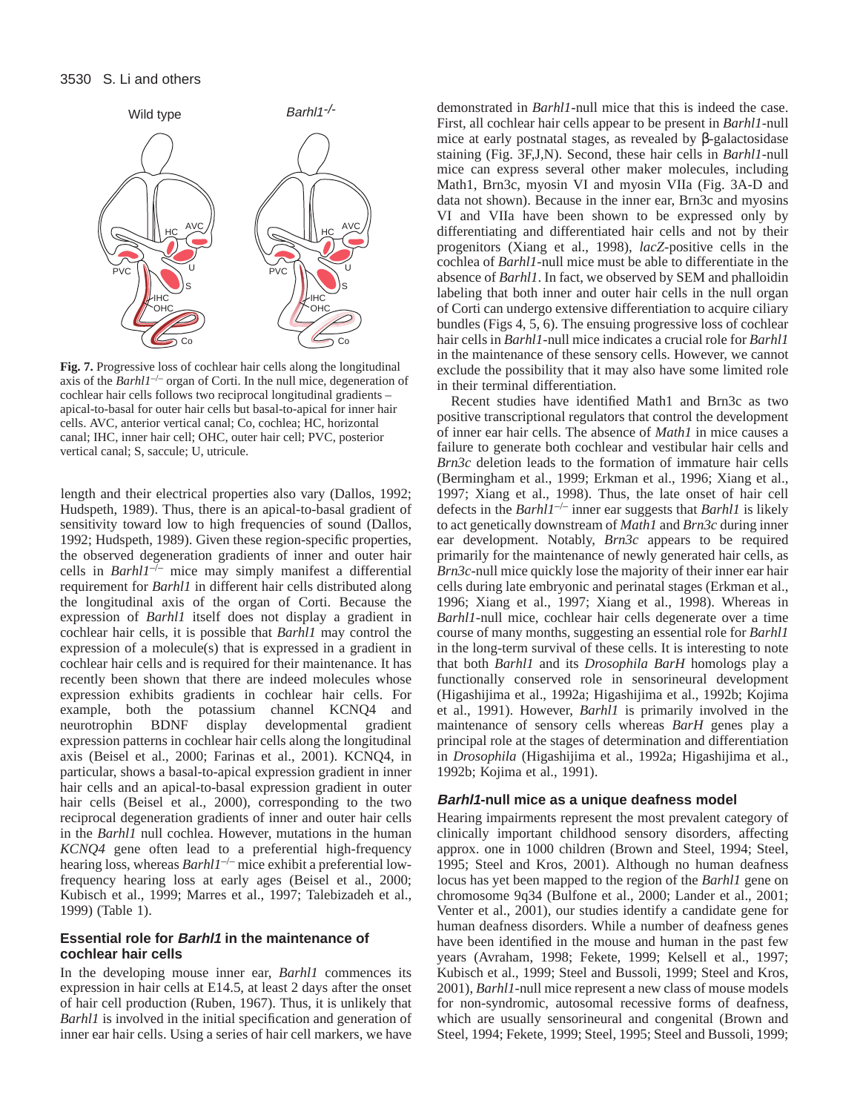

**Fig. 7.** Progressive loss of cochlear hair cells along the longitudinal axis of the *Barhl1<sup>-/-</sup>* organ of Corti. In the null mice, degeneration of cochlear hair cells follows two reciprocal longitudinal gradients – apical-to-basal for outer hair cells but basal-to-apical for inner hair cells. AVC, anterior vertical canal; Co, cochlea; HC, horizontal canal; IHC, inner hair cell; OHC, outer hair cell; PVC, posterior vertical canal; S, saccule; U, utricule.

length and their electrical properties also vary (Dallos, 1992; Hudspeth, 1989). Thus, there is an apical-to-basal gradient of sensitivity toward low to high frequencies of sound (Dallos, 1992; Hudspeth, 1989). Given these region-specific properties, the observed degeneration gradients of inner and outer hair cells in *Barhl1*–/– mice may simply manifest a differential requirement for *Barhl1* in different hair cells distributed along the longitudinal axis of the organ of Corti. Because the expression of *Barhl1* itself does not display a gradient in cochlear hair cells, it is possible that *Barhl1* may control the expression of a molecule(s) that is expressed in a gradient in cochlear hair cells and is required for their maintenance. It has recently been shown that there are indeed molecules whose expression exhibits gradients in cochlear hair cells. For example, both the potassium channel KCNQ4 and neurotrophin BDNF display developmental gradient expression patterns in cochlear hair cells along the longitudinal axis (Beisel et al., 2000; Farinas et al., 2001). KCNQ4, in particular, shows a basal-to-apical expression gradient in inner hair cells and an apical-to-basal expression gradient in outer hair cells (Beisel et al., 2000), corresponding to the two reciprocal degeneration gradients of inner and outer hair cells in the *Barhl1* null cochlea. However, mutations in the human *KCNQ4* gene often lead to a preferential high-frequency hearing loss, whereas *Barhl1<sup>-/-</sup>* mice exhibit a preferential lowfrequency hearing loss at early ages (Beisel et al., 2000; Kubisch et al., 1999; Marres et al., 1997; Talebizadeh et al., 1999) (Table 1).

# **Essential role for Barhl1 in the maintenance of cochlear hair cells**

In the developing mouse inner ear, *Barhl1* commences its expression in hair cells at E14.5, at least 2 days after the onset of hair cell production (Ruben, 1967). Thus, it is unlikely that *Barhl1* is involved in the initial specification and generation of inner ear hair cells. Using a series of hair cell markers, we have

demonstrated in *Barhl1*-null mice that this is indeed the case. First, all cochlear hair cells appear to be present in *Barhl1*-null mice at early postnatal stages, as revealed by β-galactosidase staining (Fig. 3F,J,N). Second, these hair cells in *Barhl1*-null mice can express several other maker molecules, including Math1, Brn3c, myosin VI and myosin VIIa (Fig. 3A-D and data not shown). Because in the inner ear, Brn3c and myosins VI and VIIa have been shown to be expressed only by differentiating and differentiated hair cells and not by their progenitors (Xiang et al., 1998), *lacZ*-positive cells in the cochlea of *Barhl1*-null mice must be able to differentiate in the absence of *Barhl1*. In fact, we observed by SEM and phalloidin labeling that both inner and outer hair cells in the null organ of Corti can undergo extensive differentiation to acquire ciliary bundles (Figs 4, 5, 6). The ensuing progressive loss of cochlear hair cells in *Barhl1*-null mice indicates a crucial role for *Barhl1* in the maintenance of these sensory cells. However, we cannot exclude the possibility that it may also have some limited role in their terminal differentiation.

Recent studies have identified Math1 and Brn3c as two positive transcriptional regulators that control the development of inner ear hair cells. The absence of *Math1* in mice causes a failure to generate both cochlear and vestibular hair cells and *Brn3c* deletion leads to the formation of immature hair cells (Bermingham et al., 1999; Erkman et al., 1996; Xiang et al., 1997; Xiang et al., 1998). Thus, the late onset of hair cell defects in the *Barhl1*–/– inner ear suggests that *Barhl1* is likely to act genetically downstream of *Math1* and *Brn3c* during inner ear development. Notably, *Brn3c* appears to be required primarily for the maintenance of newly generated hair cells, as *Brn3c*-null mice quickly lose the majority of their inner ear hair cells during late embryonic and perinatal stages (Erkman et al., 1996; Xiang et al., 1997; Xiang et al., 1998). Whereas in *Barhl1*-null mice, cochlear hair cells degenerate over a time course of many months, suggesting an essential role for *Barhl1* in the long-term survival of these cells. It is interesting to note that both *Barhl1* and its *Drosophila BarH* homologs play a functionally conserved role in sensorineural development (Higashijima et al., 1992a; Higashijima et al., 1992b; Kojima et al., 1991). However, *Barhl1* is primarily involved in the maintenance of sensory cells whereas *BarH* genes play a principal role at the stages of determination and differentiation in *Drosophila* (Higashijima et al., 1992a; Higashijima et al., 1992b; Kojima et al., 1991).

# **Barhl1-null mice as a unique deafness model**

Hearing impairments represent the most prevalent category of clinically important childhood sensory disorders, affecting approx. one in 1000 children (Brown and Steel, 1994; Steel, 1995; Steel and Kros, 2001). Although no human deafness locus has yet been mapped to the region of the *Barhl1* gene on chromosome 9q34 (Bulfone et al., 2000; Lander et al., 2001; Venter et al., 2001), our studies identify a candidate gene for human deafness disorders. While a number of deafness genes have been identified in the mouse and human in the past few years (Avraham, 1998; Fekete, 1999; Kelsell et al., 1997; Kubisch et al., 1999; Steel and Bussoli, 1999; Steel and Kros, 2001), *Barhl1*-null mice represent a new class of mouse models for non-syndromic, autosomal recessive forms of deafness, which are usually sensorineural and congenital (Brown and Steel, 1994; Fekete, 1999; Steel, 1995; Steel and Bussoli, 1999;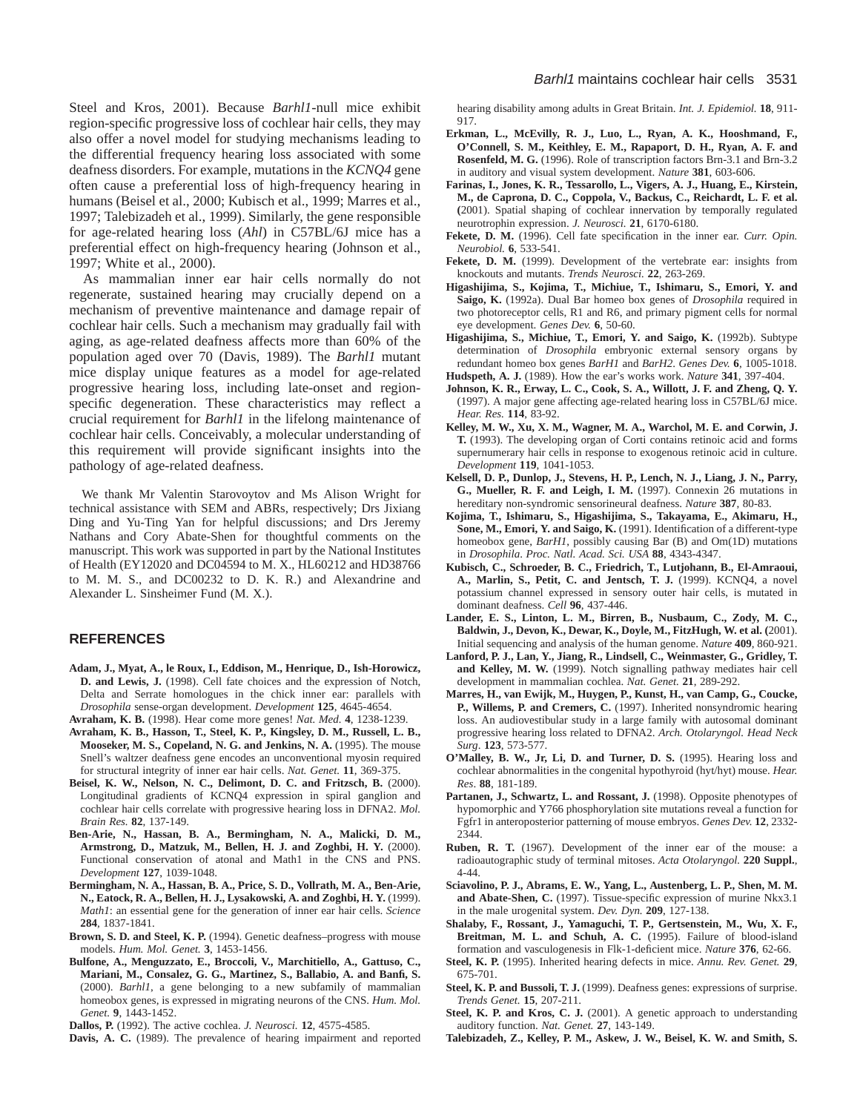Steel and Kros, 2001). Because *Barhl1*-null mice exhibit region-specific progressive loss of cochlear hair cells, they may also offer a novel model for studying mechanisms leading to the differential frequency hearing loss associated with some deafness disorders. For example, mutations in the *KCNQ4* gene often cause a preferential loss of high-frequency hearing in humans (Beisel et al., 2000; Kubisch et al., 1999; Marres et al., 1997; Talebizadeh et al., 1999). Similarly, the gene responsible for age-related hearing loss (*Ahl*) in C57BL/6J mice has a preferential effect on high-frequency hearing (Johnson et al., 1997; White et al., 2000).

As mammalian inner ear hair cells normally do not regenerate, sustained hearing may crucially depend on a mechanism of preventive maintenance and damage repair of cochlear hair cells. Such a mechanism may gradually fail with aging, as age-related deafness affects more than 60% of the population aged over 70 (Davis, 1989). The *Barhl1* mutant mice display unique features as a model for age-related progressive hearing loss, including late-onset and regionspecific degeneration. These characteristics may reflect a crucial requirement for *Barhl1* in the lifelong maintenance of cochlear hair cells. Conceivably, a molecular understanding of this requirement will provide significant insights into the pathology of age-related deafness.

We thank Mr Valentin Starovoytov and Ms Alison Wright for technical assistance with SEM and ABRs, respectively; Drs Jixiang Ding and Yu-Ting Yan for helpful discussions; and Drs Jeremy Nathans and Cory Abate-Shen for thoughtful comments on the manuscript. This work was supported in part by the National Institutes of Health (EY12020 and DC04594 to M. X., HL60212 and HD38766 to M. M. S., and DC00232 to D. K. R.) and Alexandrine and Alexander L. Sinsheimer Fund (M. X.).

## **REFERENCES**

- **Adam, J., Myat, A., le Roux, I., Eddison, M., Henrique, D., Ish-Horowicz, D. and Lewis, J.** (1998). Cell fate choices and the expression of Notch, Delta and Serrate homologues in the chick inner ear: parallels with *Drosophila* sense-organ development. *Development* **125**, 4645-4654.
- **Avraham, K. B.** (1998). Hear come more genes! *Nat. Med.* **4**, 1238-1239. **Avraham, K. B., Hasson, T., Steel, K. P., Kingsley, D. M., Russell, L. B., Mooseker, M. S., Copeland, N. G. and Jenkins, N. A.** (1995). The mouse Snell's waltzer deafness gene encodes an unconventional myosin required for structural integrity of inner ear hair cells. *Nat. Genet.* **11**, 369-375.
- **Beisel, K. W., Nelson, N. C., Delimont, D. C. and Fritzsch, B.** (2000). Longitudinal gradients of KCNQ4 expression in spiral ganglion and cochlear hair cells correlate with progressive hearing loss in DFNA2. *Mol. Brain Res.* **82**, 137-149.
- **Ben-Arie, N., Hassan, B. A., Bermingham, N. A., Malicki, D. M., Armstrong, D., Matzuk, M., Bellen, H. J. and Zoghbi, H. Y.** (2000). Functional conservation of atonal and Math1 in the CNS and PNS. *Development* **127**, 1039-1048.
- **Bermingham, N. A., Hassan, B. A., Price, S. D., Vollrath, M. A., Ben-Arie, N., Eatock, R. A., Bellen, H. J., Lysakowski, A. and Zoghbi, H. Y.** (1999). *Math1*: an essential gene for the generation of inner ear hair cells. *Science* **284**, 1837-1841.
- **Brown, S. D. and Steel, K. P.** (1994). Genetic deafness–progress with mouse models. *Hum. Mol. Genet.* **3**, 1453-1456.
- **Bulfone, A., Menguzzato, E., Broccoli, V., Marchitiello, A., Gattuso, C., Mariani, M., Consalez, G. G., Martinez, S., Ballabio, A. and Banfi, S.** (2000). *Barhl1*, a gene belonging to a new subfamily of mammalian homeobox genes, is expressed in migrating neurons of the CNS. *Hum. Mol. Genet.* **9**, 1443-1452.

**Dallos, P.** (1992). The active cochlea. *J. Neurosci.* **12**, 4575-4585.

**Davis, A. C.** (1989). The prevalence of hearing impairment and reported

hearing disability among adults in Great Britain. *Int. J. Epidemiol.* **18**, 911- 917.

- **Erkman, L., McEvilly, R. J., Luo, L., Ryan, A. K., Hooshmand, F., O'Connell, S. M., Keithley, E. M., Rapaport, D. H., Ryan, A. F. and Rosenfeld, M. G.** (1996). Role of transcription factors Brn-3.1 and Brn-3.2 in auditory and visual system development. *Nature* **381**, 603-606.
- **Farinas, I., Jones, K. R., Tessarollo, L., Vigers, A. J., Huang, E., Kirstein, M., de Caprona, D. C., Coppola, V., Backus, C., Reichardt, L. F. et al. (**2001). Spatial shaping of cochlear innervation by temporally regulated neurotrophin expression. *J. Neurosci.* **21**, 6170-6180.
- **Fekete, D. M.** (1996). Cell fate specification in the inner ear. *Curr. Opin. Neurobiol.* **6**, 533-541.
- **Fekete, D. M.** (1999). Development of the vertebrate ear: insights from knockouts and mutants. *Trends Neurosci.* **22**, 263-269.
- **Higashijima, S., Kojima, T., Michiue, T., Ishimaru, S., Emori, Y. and Saigo, K.** (1992a). Dual Bar homeo box genes of *Drosophila* required in two photoreceptor cells, R1 and R6, and primary pigment cells for normal eye development. *Genes Dev.* **6**, 50-60.
- **Higashijima, S., Michiue, T., Emori, Y. and Saigo, K.** (1992b). Subtype determination of *Drosophila* embryonic external sensory organs by redundant homeo box genes *BarH1* and *BarH2*. *Genes Dev.* **6**, 1005-1018. **Hudspeth, A. J.** (1989). How the ear's works work. *Nature* **341**, 397-404.
- **Johnson, K. R., Erway, L. C., Cook, S. A., Willott, J. F. and Zheng, Q. Y.** (1997). A major gene affecting age-related hearing loss in C57BL/6J mice. *Hear. Res.* **114**, 83-92.
- **Kelley, M. W., Xu, X. M., Wagner, M. A., Warchol, M. E. and Corwin, J. T.** (1993). The developing organ of Corti contains retinoic acid and forms supernumerary hair cells in response to exogenous retinoic acid in culture. *Development* **119**, 1041-1053.
- **Kelsell, D. P., Dunlop, J., Stevens, H. P., Lench, N. J., Liang, J. N., Parry, G., Mueller, R. F. and Leigh, I. M.** (1997). Connexin 26 mutations in hereditary non-syndromic sensorineural deafness. *Nature* **387**, 80-83.
- **Kojima, T., Ishimaru, S., Higashijima, S., Takayama, E., Akimaru, H., Sone, M., Emori, Y. and Saigo, K.** (1991). Identification of a different-type homeobox gene, *BarH1*, possibly causing Bar (B) and Om(1D) mutations in *Drosophila*. *Proc. Natl. Acad. Sci. USA* **88**, 4343-4347.
- **Kubisch, C., Schroeder, B. C., Friedrich, T., Lutjohann, B., El-Amraoui, A., Marlin, S., Petit, C. and Jentsch, T. J.** (1999). KCNQ4, a novel potassium channel expressed in sensory outer hair cells, is mutated in dominant deafness. *Cell* **96**, 437-446.
- **Lander, E. S., Linton, L. M., Birren, B., Nusbaum, C., Zody, M. C., Baldwin, J., Devon, K., Dewar, K., Doyle, M., FitzHugh, W. et al. (**2001). Initial sequencing and analysis of the human genome. *Nature* **409**, 860-921.
- **Lanford, P. J., Lan, Y., Jiang, R., Lindsell, C., Weinmaster, G., Gridley, T. and Kelley, M. W.** (1999). Notch signalling pathway mediates hair cell development in mammalian cochlea. *Nat. Genet.* **21**, 289-292.
- **Marres, H., van Ewijk, M., Huygen, P., Kunst, H., van Camp, G., Coucke, P., Willems, P. and Cremers, C.** (1997). Inherited nonsyndromic hearing loss. An audiovestibular study in a large family with autosomal dominant progressive hearing loss related to DFNA2. *Arch. Otolaryngol. Head Neck Surg*. **123**, 573-577.
- **O'Malley, B. W., Jr, Li, D. and Turner, D. S.** (1995). Hearing loss and cochlear abnormalities in the congenital hypothyroid (hyt/hyt) mouse. *Hear. Res*. **88**, 181-189.
- Partanen, J., Schwartz, L. and Rossant, J. (1998). Opposite phenotypes of hypomorphic and Y766 phosphorylation site mutations reveal a function for Fgfr1 in anteroposterior patterning of mouse embryos. *Genes Dev.* **12**, 2332- 2344.
- **Ruben, R. T.** (1967). Development of the inner ear of the mouse: a radioautographic study of terminal mitoses. *Acta Otolaryngol.* **220 Suppl.**, 4-44.
- **Sciavolino, P. J., Abrams, E. W., Yang, L., Austenberg, L. P., Shen, M. M. and Abate-Shen, C.** (1997). Tissue-specific expression of murine Nkx3.1 in the male urogenital system. *Dev. Dyn.* **209**, 127-138.
- **Shalaby, F., Rossant, J., Yamaguchi, T. P., Gertsenstein, M., Wu, X. F., Breitman, M. L. and Schuh, A. C.** (1995). Failure of blood-island formation and vasculogenesis in Flk-1-deficient mice. *Nature* **376**, 62-66.
- **Steel, K. P.** (1995). Inherited hearing defects in mice. *Annu. Rev. Genet.* **29**, 675-701.
- **Steel, K. P. and Bussoli, T. J.** (1999). Deafness genes: expressions of surprise. *Trends Genet.* **15**, 207-211.
- Steel, K. P. and Kros, C. J. (2001). A genetic approach to understanding auditory function. *Nat. Genet.* **27**, 143-149.
- **Talebizadeh, Z., Kelley, P. M., Askew, J. W., Beisel, K. W. and Smith, S.**